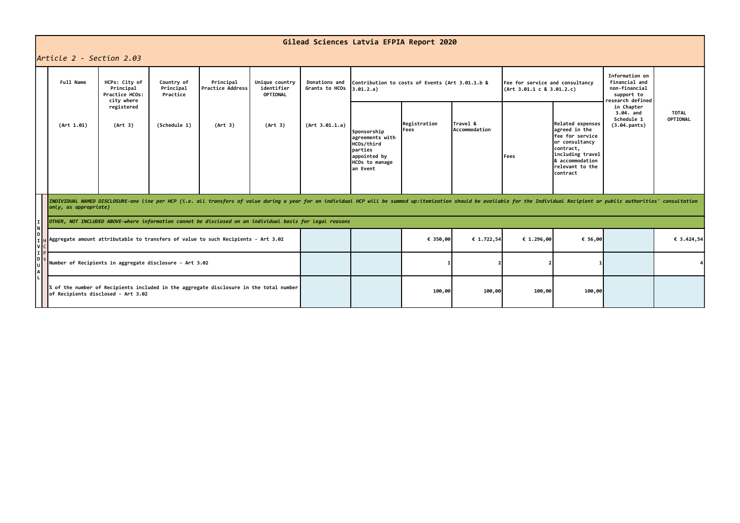## **Gilead Sciences Latvia EFPIA Report 2020**

## *Article 2 - Section 2.03*

|    | APTICLE Z - SECTION 2.03                                                                                                                                                                                                                                |                                     |                                      |                                          |                                 |                                                              |                                                                                                               |                      |                                                              |              |                                                                                                                                                                   |                                                       |                                 |  |
|----|---------------------------------------------------------------------------------------------------------------------------------------------------------------------------------------------------------------------------------------------------------|-------------------------------------|--------------------------------------|------------------------------------------|---------------------------------|--------------------------------------------------------------|---------------------------------------------------------------------------------------------------------------|----------------------|--------------------------------------------------------------|--------------|-------------------------------------------------------------------------------------------------------------------------------------------------------------------|-------------------------------------------------------|---------------------------------|--|
|    | Full Name<br>HCPs: City of<br>Principal<br>Practice HCOs:<br>city where                                                                                                                                                                                 | Country of<br>Principal<br>Practice | Principal<br><b>Practice Address</b> | Unique country<br>identifier<br>OPTIONAL | Donations and<br>Grants to HCOs | Contribution to costs of Events (Art 3.01.1.b &<br>3.01.2.a) |                                                                                                               |                      | Fee for service and consultancy<br>(Art 3.01.1 c 8 3.01.2.c) |              | Information on<br>financial and<br>non-financial<br>support to<br>research defined                                                                                |                                                       |                                 |  |
|    | (Art 1.01)                                                                                                                                                                                                                                              | registered<br>(Art 3)               | (Schedule 1)                         | (Art 3)                                  | (Art 3)                         | (Art 3.01.1.a)                                               | Sponsorship<br>agreements with<br>HCOs/third<br>parties<br>appointed by<br><b>HCOs to manage</b><br>lan Event | Registration<br>Fees | Travel &<br>Accommodation                                    | <b>IFees</b> | Related expenses<br>agreed in the<br><b>fee for service</b><br>or consultancy<br>contract,<br>including travel<br>8 accommodation<br>relevant to the<br>lcontract | in Chapter<br>3.04. and<br>Schedule 1<br>(3.04.pants) | <b>TOTAL</b><br><b>OPTIONAL</b> |  |
|    | INDIVIDUAL NAMED DISCLOSURE-one line per HCP (i.e. all transfers of value during a year for an individual HCP will be summed up:itemization should be available for the Individual Recipient or public authorities' consultati<br>only, as appropriate) |                                     |                                      |                                          |                                 |                                                              |                                                                                                               |                      |                                                              |              |                                                                                                                                                                   |                                                       |                                 |  |
|    | OTHER, NOT INCLUDED ABOVE-where information cannot be disclosed on an individual basis for legal reasons                                                                                                                                                |                                     |                                      |                                          |                                 |                                                              |                                                                                                               |                      |                                                              |              |                                                                                                                                                                   |                                                       |                                 |  |
| 'Ω | Aggregate amount attributable to transfers of value to such Recipients - Art 3.02                                                                                                                                                                       |                                     |                                      |                                          |                                 |                                                              |                                                                                                               | € 350,00             | € 1.722,54                                                   | € 1.296,00   | € 56,00                                                                                                                                                           |                                                       | € 3.424,54                      |  |
|    | Number of Recipients in aggregate disclosure - Art 3.02                                                                                                                                                                                                 |                                     |                                      |                                          |                                 |                                                              |                                                                                                               |                      |                                                              |              |                                                                                                                                                                   |                                                       |                                 |  |
|    | % of the number of Recipients included in the aggregate disclosure in the total number<br>of Recipients disclosed - Art 3.02                                                                                                                            |                                     |                                      |                                          |                                 |                                                              |                                                                                                               | 100,00               | 100,00                                                       | 100,00       | 100,00                                                                                                                                                            |                                                       |                                 |  |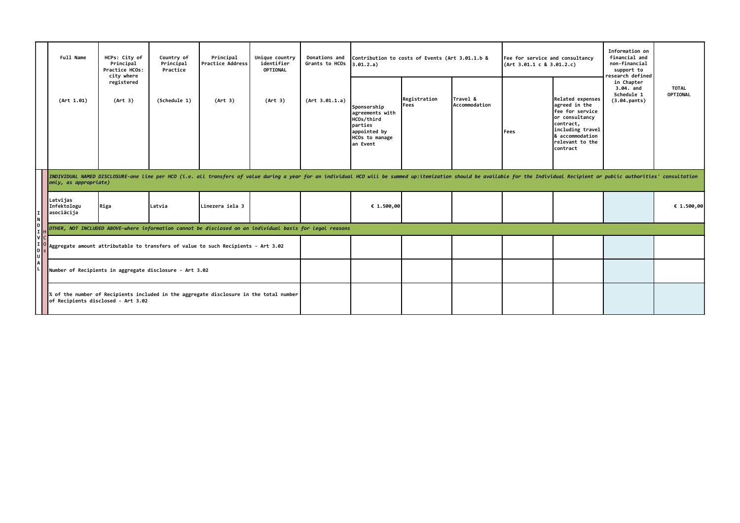|                                 | Full Name                                                                                                                                                                                                                                               | HCPs: City of<br>Principal<br>Practice HCOs:<br>city where | Country of<br>Principal<br>Practice | Principal<br>Practice Address | Unique country<br>identifier<br>OPTIONAL<br>(Art 3) | Donations and<br>Grants to HCOs<br>(Art 3.01.1.a) | Contribution to costs of Events (Art 3.01.1.b &<br>3.01.2.a)                                           |                      |                           | Fee for service and consultancy<br>(Art 3.01.1 c 8 3.01.2.c) |                                                                                                                                                                  | Information on<br>financial and<br>non-financial<br>support to<br>research defined |                          |
|---------------------------------|---------------------------------------------------------------------------------------------------------------------------------------------------------------------------------------------------------------------------------------------------------|------------------------------------------------------------|-------------------------------------|-------------------------------|-----------------------------------------------------|---------------------------------------------------|--------------------------------------------------------------------------------------------------------|----------------------|---------------------------|--------------------------------------------------------------|------------------------------------------------------------------------------------------------------------------------------------------------------------------|------------------------------------------------------------------------------------|--------------------------|
|                                 | (Art 1.01)                                                                                                                                                                                                                                              | registered<br>(Art 3)                                      | (Schedule 1)                        | (Art 3)                       |                                                     |                                                   | Sponsorship<br>agreements with<br>HCOs/third<br>lparties<br>appointed by<br>HCOs to manage<br>an Event | Registration<br>Fees | Travel &<br>Accommodation | Fees                                                         | Related expenses<br>agreed in the<br>fee for service<br>or consultancy<br>contract,<br>including travel<br><b>8 accommodation</b><br>relevant to the<br>contract | in Chapter<br>3.04. and<br>Schedule 1<br>(3.04.pants)                              | <b>TOTAL</b><br>OPTIONAL |
|                                 | INDIVIDUAL NAMED DISCLOSURE-one line per HCO (i.e. all transfers of value during a year for an individual HCO will be summed up:itemization should be available for the Individual Recipient or public authorities' consultati<br>only, as appropriate) |                                                            |                                     |                               |                                                     |                                                   |                                                                                                        |                      |                           |                                                              |                                                                                                                                                                  |                                                                                    |                          |
| Νļ                              | Latvijas<br>Infektologu<br>asociācija                                                                                                                                                                                                                   | Riga                                                       | Latvia                              | Linezera iela 3               |                                                     |                                                   | € 1.500,00                                                                                             |                      |                           |                                                              |                                                                                                                                                                  |                                                                                    | € 1.500,00               |
| D                               | OTHER, NOT INCLUDED ABOVE-where information cannot be disclosed on an individual basis for legal reasons                                                                                                                                                |                                                            |                                     |                               |                                                     |                                                   |                                                                                                        |                      |                           |                                                              |                                                                                                                                                                  |                                                                                    |                          |
| V <sub>c</sub><br>τk<br>D<br> U | Aggregate amount attributable to transfers of value to such Recipients - Art 3.02                                                                                                                                                                       |                                                            |                                     |                               |                                                     |                                                   |                                                                                                        |                      |                           |                                                              |                                                                                                                                                                  |                                                                                    |                          |
|                                 | Number of Recipients in aggregate disclosure - Art 3.02                                                                                                                                                                                                 |                                                            |                                     |                               |                                                     |                                                   |                                                                                                        |                      |                           |                                                              |                                                                                                                                                                  |                                                                                    |                          |
|                                 | % of the number of Recipients included in the aggregate disclosure in the total number<br>of Recipients disclosed - Art 3.02                                                                                                                            |                                                            |                                     |                               |                                                     |                                                   |                                                                                                        |                      |                           |                                                              |                                                                                                                                                                  |                                                                                    |                          |